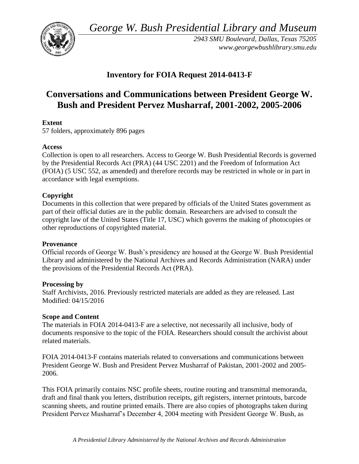*George W. Bush Presidential Library and Museum* 



*2943 SMU Boulevard, Dallas, Texas 75205 <www.georgewbushlibrary.smu.edu>* 

## **Inventory for FOIA Request 2014-0413-F**

# **Conversations and Communications between President George W. Bush and President Pervez Musharraf, 2001-2002, 2005-2006**

## **Extent**

57 folders, approximately 896 pages

## **Access**

Collection is open to all researchers. Access to George W. Bush Presidential Records is governed by the Presidential Records Act (PRA) (44 USC 2201) and the Freedom of Information Act (FOIA) (5 USC 552, as amended) and therefore records may be restricted in whole or in part in accordance with legal exemptions.

## **Copyright**

 Documents in this collection that were prepared by officials of the United States government as part of their official duties are in the public domain. Researchers are advised to consult the copyright law of the United States (Title 17, USC) which governs the making of photocopies or other reproductions of copyrighted material.

## **Provenance**

Official records of George W. Bush's presidency are housed at the George W. Bush Presidential Library and administered by the National Archives and Records Administration (NARA) under the provisions of the Presidential Records Act (PRA).

## **Processing by**

Staff Archivists, 2016. Previously restricted materials are added as they are released. Last Modified: 04/15/2016

## **Scope and Content**

 documents responsive to the topic of the FOIA. Researchers should consult the archivist about The materials in FOIA 2014-0413-F are a selective, not necessarily all inclusive, body of related materials.

FOIA 2014-0413-F contains materials related to conversations and communications between President George W. Bush and President Pervez Musharraf of Pakistan, 2001-2002 and 2005- 2006.

 President Pervez Musharraf's December 4, 2004 meeting with President George W. Bush, as This FOIA primarily contains NSC profile sheets, routine routing and transmittal memoranda, draft and final thank you letters, distribution receipts, gift registers, internet printouts, barcode scanning sheets, and routine printed emails. There are also copies of photographs taken during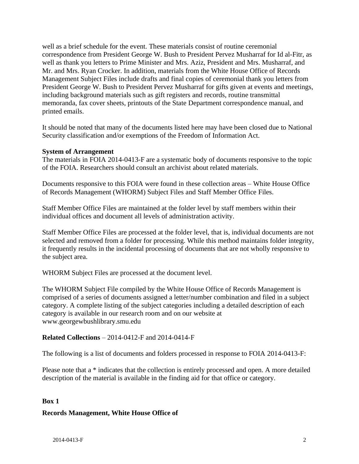correspondence from President George W. Bush to President Pervez Musharraf for Id al-Fitr, as well as a brief schedule for the event. These materials consist of routine ceremonial well as thank you letters to Prime Minister and Mrs. Aziz, President and Mrs. Musharraf, and Mr. and Mrs. Ryan Crocker. In addition, materials from the White House Office of Records Management Subject Files include drafts and final copies of ceremonial thank you letters from President George W. Bush to President Pervez Musharraf for gifts given at events and meetings, including background materials such as gift registers and records, routine transmittal memoranda, fax cover sheets, printouts of the State Department correspondence manual, and printed emails.

It should be noted that many of the documents listed here may have been closed due to National Security classification and/or exemptions of the Freedom of Information Act.

#### **System of Arrangement**

 The materials in FOIA 2014-0413-F are a systematic body of documents responsive to the topic of the FOIA. Researchers should consult an archivist about related materials.

Documents responsive to this FOIA were found in these collection areas – White House Office of Records Management (WHORM) Subject Files and Staff Member Office Files.

 Staff Member Office Files are maintained at the folder level by staff members within their individual offices and document all levels of administration activity.

Staff Member Office Files are processed at the folder level, that is, individual documents are not selected and removed from a folder for processing. While this method maintains folder integrity, it frequently results in the incidental processing of documents that are not wholly responsive to the subject area.

WHORM Subject Files are processed at the document level.

 The WHORM Subject File compiled by the White House Office of Records Management is comprised of a series of documents assigned a letter/number combination and filed in a subject category. A complete listing of the subject categories including a detailed description of each category is available in our research room and on our website at <www.georgewbushlibrary.smu.edu>

#### **Related Collections** – 2014-0412-F and 2014-0414-F

The following is a list of documents and folders processed in response to FOIA 2014-0413-F:

 Please note that a \* indicates that the collection is entirely processed and open. A more detailed description of the material is available in the finding aid for that office or category.

#### **Box 1**

#### **Records Management, White House Office of**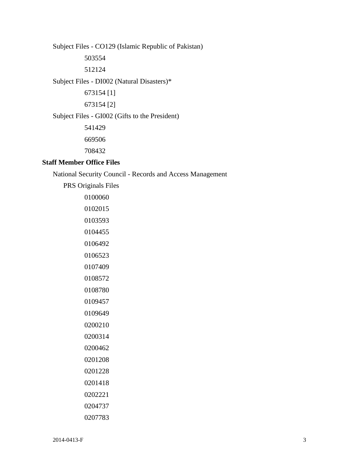Subject Files - CO129 (Islamic Republic of Pakistan) Subject Files - DI002 (Natural Disasters)\* Subject Files - GI002 (Gifts to the President) 673154 [1] 673154 [2] 

#### **Staff Member Office Files**

National Security Council - Records and Access Management

PRS Originals Files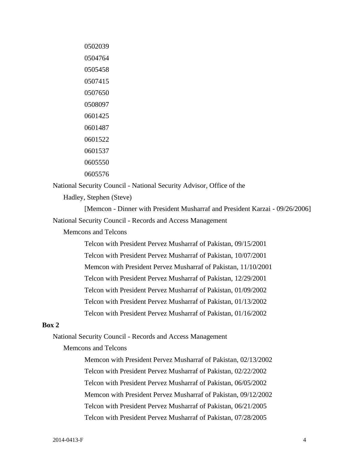National Security Council - National Security Advisor, Office of the

Hadley, Stephen (Steve)

[Memcon - Dinner with President Musharraf and President Karzai - 09/26/2006] National Security Council - Records and Access Management

Memcons and Telcons

Telcon with President Pervez Musharraf of Pakistan, 09/15/2001 Telcon with President Pervez Musharraf of Pakistan, 10/07/2001 Memcon with President Pervez Musharraf of Pakistan, 11/10/2001 Telcon with President Pervez Musharraf of Pakistan, 12/29/2001 Telcon with President Pervez Musharraf of Pakistan, 01/09/2002 Telcon with President Pervez Musharraf of Pakistan, 01/13/2002 Telcon with President Pervez Musharraf of Pakistan, 01/16/2002

#### **Box 2**

National Security Council - Records and Access Management

#### Memcons and Telcons

Memcon with President Pervez Musharraf of Pakistan, 02/13/2002 Telcon with President Pervez Musharraf of Pakistan, 02/22/2002 Telcon with President Pervez Musharraf of Pakistan, 06/05/2002 Memcon with President Pervez Musharraf of Pakistan, 09/12/2002 Telcon with President Pervez Musharraf of Pakistan, 06/21/2005 Telcon with President Pervez Musharraf of Pakistan, 07/28/2005